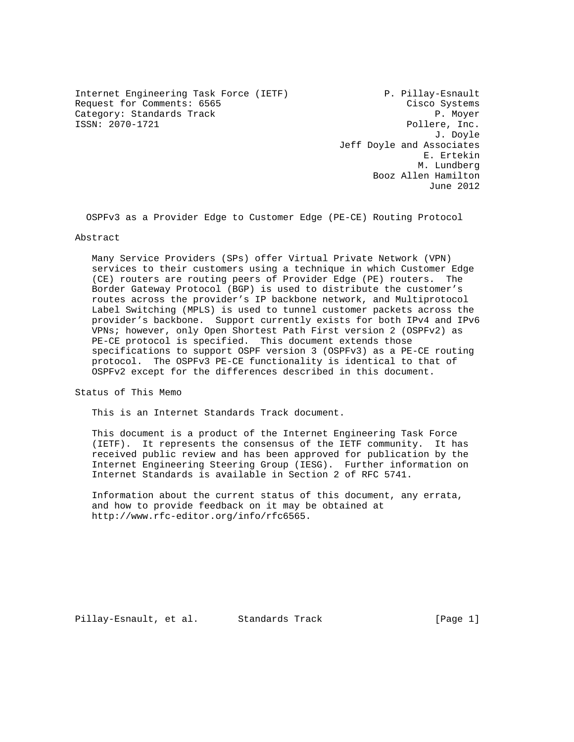Internet Engineering Task Force (IETF) P. Pillay-Esnault Request for Comments: 6565 Cisco Systems Category: Standards Track and P. Moyer<br>
ISSN: 2070-1721 Pollere, Inc.

Pollere, Inc. J. Doyle Jeff Doyle and Associates E. Ertekin M. Lundberg Booz Allen Hamilton June 2012

OSPFv3 as a Provider Edge to Customer Edge (PE-CE) Routing Protocol

#### Abstract

 Many Service Providers (SPs) offer Virtual Private Network (VPN) services to their customers using a technique in which Customer Edge (CE) routers are routing peers of Provider Edge (PE) routers. The Border Gateway Protocol (BGP) is used to distribute the customer's routes across the provider's IP backbone network, and Multiprotocol Label Switching (MPLS) is used to tunnel customer packets across the provider's backbone. Support currently exists for both IPv4 and IPv6 VPNs; however, only Open Shortest Path First version 2 (OSPFv2) as PE-CE protocol is specified. This document extends those specifications to support OSPF version 3 (OSPFv3) as a PE-CE routing protocol. The OSPFv3 PE-CE functionality is identical to that of OSPFv2 except for the differences described in this document.

Status of This Memo

This is an Internet Standards Track document.

 This document is a product of the Internet Engineering Task Force (IETF). It represents the consensus of the IETF community. It has received public review and has been approved for publication by the Internet Engineering Steering Group (IESG). Further information on Internet Standards is available in Section 2 of RFC 5741.

 Information about the current status of this document, any errata, and how to provide feedback on it may be obtained at http://www.rfc-editor.org/info/rfc6565.

Pillay-Esnault, et al. Standards Track [Page 1]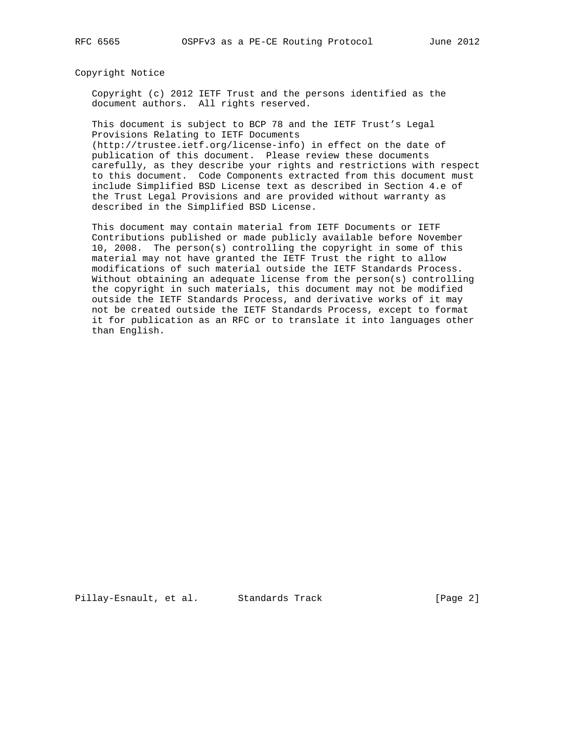Copyright Notice

 Copyright (c) 2012 IETF Trust and the persons identified as the document authors. All rights reserved.

 This document is subject to BCP 78 and the IETF Trust's Legal Provisions Relating to IETF Documents (http://trustee.ietf.org/license-info) in effect on the date of publication of this document. Please review these documents

 carefully, as they describe your rights and restrictions with respect to this document. Code Components extracted from this document must include Simplified BSD License text as described in Section 4.e of the Trust Legal Provisions and are provided without warranty as described in the Simplified BSD License.

 This document may contain material from IETF Documents or IETF Contributions published or made publicly available before November 10, 2008. The person(s) controlling the copyright in some of this material may not have granted the IETF Trust the right to allow modifications of such material outside the IETF Standards Process. Without obtaining an adequate license from the person(s) controlling the copyright in such materials, this document may not be modified outside the IETF Standards Process, and derivative works of it may not be created outside the IETF Standards Process, except to format it for publication as an RFC or to translate it into languages other than English.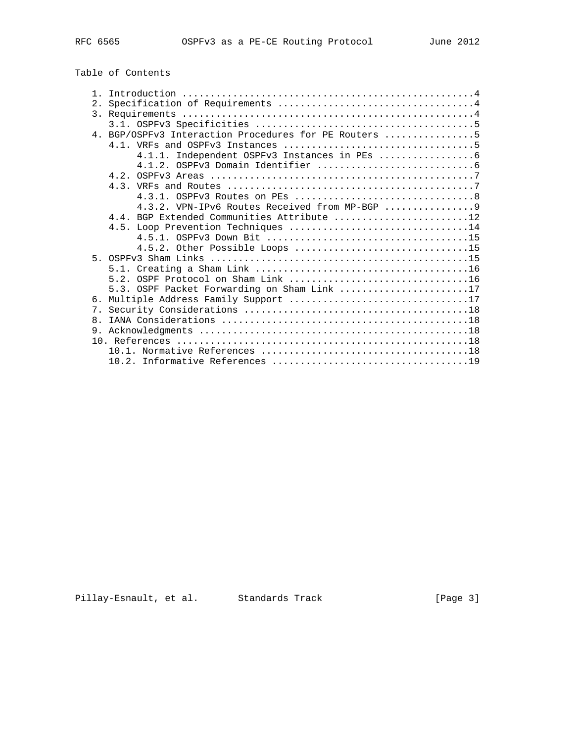# Table of Contents

| 2.             |                                                       |  |  |  |  |  |  |  |  |  |  |  |  |  |  |
|----------------|-------------------------------------------------------|--|--|--|--|--|--|--|--|--|--|--|--|--|--|
|                |                                                       |  |  |  |  |  |  |  |  |  |  |  |  |  |  |
|                |                                                       |  |  |  |  |  |  |  |  |  |  |  |  |  |  |
|                | 4. BGP/OSPFv3 Interaction Procedures for PE Routers 5 |  |  |  |  |  |  |  |  |  |  |  |  |  |  |
|                |                                                       |  |  |  |  |  |  |  |  |  |  |  |  |  |  |
|                |                                                       |  |  |  |  |  |  |  |  |  |  |  |  |  |  |
|                |                                                       |  |  |  |  |  |  |  |  |  |  |  |  |  |  |
|                |                                                       |  |  |  |  |  |  |  |  |  |  |  |  |  |  |
|                |                                                       |  |  |  |  |  |  |  |  |  |  |  |  |  |  |
|                |                                                       |  |  |  |  |  |  |  |  |  |  |  |  |  |  |
|                | 4.3.2. VPN-IPv6 Routes Received from MP-BGP  9        |  |  |  |  |  |  |  |  |  |  |  |  |  |  |
|                | 4.4. BGP Extended Communities Attribute 12            |  |  |  |  |  |  |  |  |  |  |  |  |  |  |
|                |                                                       |  |  |  |  |  |  |  |  |  |  |  |  |  |  |
|                |                                                       |  |  |  |  |  |  |  |  |  |  |  |  |  |  |
|                | 4.5.2. Other Possible Loops 15                        |  |  |  |  |  |  |  |  |  |  |  |  |  |  |
|                |                                                       |  |  |  |  |  |  |  |  |  |  |  |  |  |  |
|                |                                                       |  |  |  |  |  |  |  |  |  |  |  |  |  |  |
|                |                                                       |  |  |  |  |  |  |  |  |  |  |  |  |  |  |
|                | 5.3. OSPF Packet Forwarding on Sham Link 17           |  |  |  |  |  |  |  |  |  |  |  |  |  |  |
| რ.             | Multiple Address Family Support 17                    |  |  |  |  |  |  |  |  |  |  |  |  |  |  |
| 7 <sub>1</sub> |                                                       |  |  |  |  |  |  |  |  |  |  |  |  |  |  |
| 8 <sub>1</sub> |                                                       |  |  |  |  |  |  |  |  |  |  |  |  |  |  |
|                |                                                       |  |  |  |  |  |  |  |  |  |  |  |  |  |  |
|                |                                                       |  |  |  |  |  |  |  |  |  |  |  |  |  |  |
|                |                                                       |  |  |  |  |  |  |  |  |  |  |  |  |  |  |
|                |                                                       |  |  |  |  |  |  |  |  |  |  |  |  |  |  |
|                |                                                       |  |  |  |  |  |  |  |  |  |  |  |  |  |  |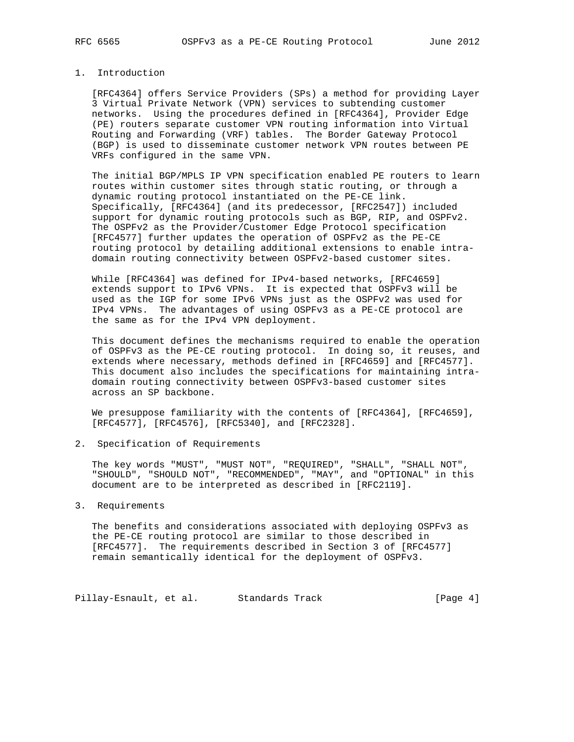## 1. Introduction

 [RFC4364] offers Service Providers (SPs) a method for providing Layer 3 Virtual Private Network (VPN) services to subtending customer networks. Using the procedures defined in [RFC4364], Provider Edge (PE) routers separate customer VPN routing information into Virtual Routing and Forwarding (VRF) tables. The Border Gateway Protocol (BGP) is used to disseminate customer network VPN routes between PE VRFs configured in the same VPN.

 The initial BGP/MPLS IP VPN specification enabled PE routers to learn routes within customer sites through static routing, or through a dynamic routing protocol instantiated on the PE-CE link. Specifically, [RFC4364] (and its predecessor, [RFC2547]) included support for dynamic routing protocols such as BGP, RIP, and OSPFv2. The OSPFv2 as the Provider/Customer Edge Protocol specification [RFC4577] further updates the operation of OSPFv2 as the PE-CE routing protocol by detailing additional extensions to enable intra domain routing connectivity between OSPFv2-based customer sites.

 While [RFC4364] was defined for IPv4-based networks, [RFC4659] extends support to IPv6 VPNs. It is expected that OSPFv3 will be used as the IGP for some IPv6 VPNs just as the OSPFv2 was used for IPv4 VPNs. The advantages of using OSPFv3 as a PE-CE protocol are the same as for the IPv4 VPN deployment.

 This document defines the mechanisms required to enable the operation of OSPFv3 as the PE-CE routing protocol. In doing so, it reuses, and extends where necessary, methods defined in [RFC4659] and [RFC4577]. This document also includes the specifications for maintaining intra domain routing connectivity between OSPFv3-based customer sites across an SP backbone.

 We presuppose familiarity with the contents of [RFC4364], [RFC4659], [RFC4577], [RFC4576], [RFC5340], and [RFC2328].

## 2. Specification of Requirements

 The key words "MUST", "MUST NOT", "REQUIRED", "SHALL", "SHALL NOT", "SHOULD", "SHOULD NOT", "RECOMMENDED", "MAY", and "OPTIONAL" in this document are to be interpreted as described in [RFC2119].

## 3. Requirements

 The benefits and considerations associated with deploying OSPFv3 as the PE-CE routing protocol are similar to those described in [RFC4577]. The requirements described in Section 3 of [RFC4577] remain semantically identical for the deployment of OSPFv3.

Pillay-Esnault, et al. Standards Track [Page 4]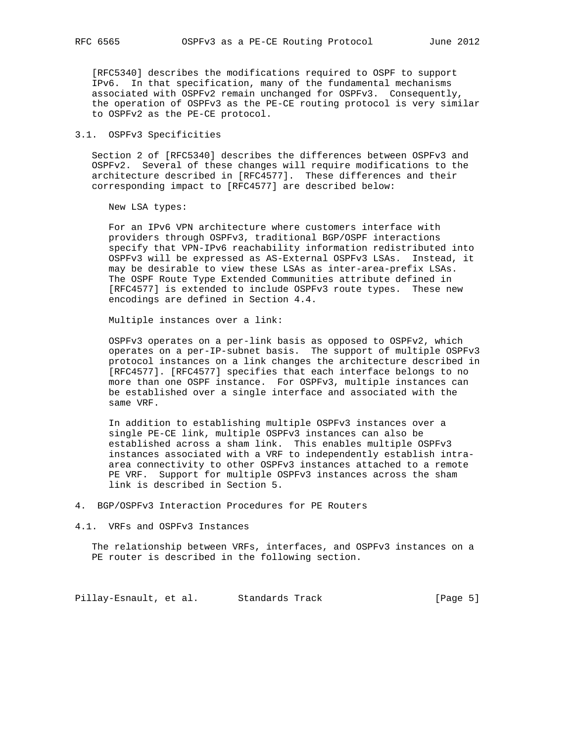[RFC5340] describes the modifications required to OSPF to support IPv6. In that specification, many of the fundamental mechanisms associated with OSPFv2 remain unchanged for OSPFv3. Consequently, the operation of OSPFv3 as the PE-CE routing protocol is very similar to OSPFv2 as the PE-CE protocol.

## 3.1. OSPFv3 Specificities

 Section 2 of [RFC5340] describes the differences between OSPFv3 and OSPFv2. Several of these changes will require modifications to the architecture described in [RFC4577]. These differences and their corresponding impact to [RFC4577] are described below:

New LSA types:

 For an IPv6 VPN architecture where customers interface with providers through OSPFv3, traditional BGP/OSPF interactions specify that VPN-IPv6 reachability information redistributed into OSPFv3 will be expressed as AS-External OSPFv3 LSAs. Instead, it may be desirable to view these LSAs as inter-area-prefix LSAs. The OSPF Route Type Extended Communities attribute defined in [RFC4577] is extended to include OSPFv3 route types. These new encodings are defined in Section 4.4.

Multiple instances over a link:

 OSPFv3 operates on a per-link basis as opposed to OSPFv2, which operates on a per-IP-subnet basis. The support of multiple OSPFv3 protocol instances on a link changes the architecture described in [RFC4577]. [RFC4577] specifies that each interface belongs to no more than one OSPF instance. For OSPFv3, multiple instances can be established over a single interface and associated with the same VRF.

 In addition to establishing multiple OSPFv3 instances over a single PE-CE link, multiple OSPFv3 instances can also be established across a sham link. This enables multiple OSPFv3 instances associated with a VRF to independently establish intra area connectivity to other OSPFv3 instances attached to a remote PE VRF. Support for multiple OSPFv3 instances across the sham link is described in Section 5.

4. BGP/OSPFv3 Interaction Procedures for PE Routers

4.1. VRFs and OSPFv3 Instances

 The relationship between VRFs, interfaces, and OSPFv3 instances on a PE router is described in the following section.

Pillay-Esnault, et al. Standards Track [Page 5]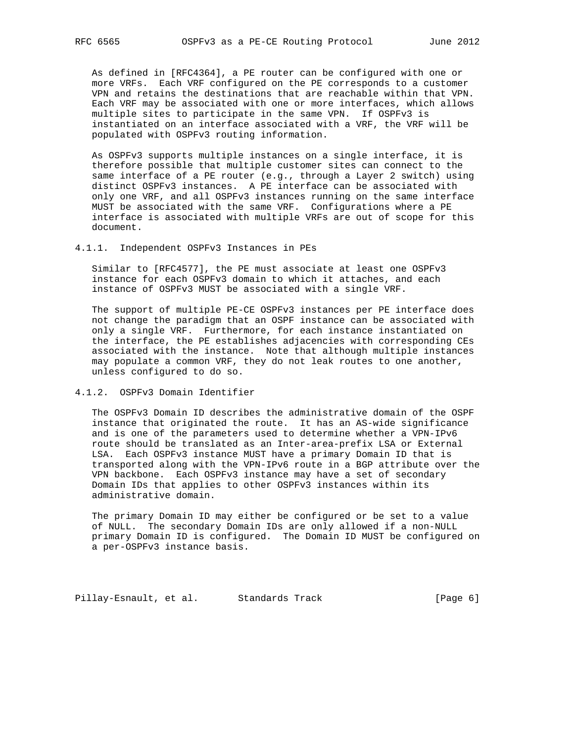As defined in [RFC4364], a PE router can be configured with one or more VRFs. Each VRF configured on the PE corresponds to a customer VPN and retains the destinations that are reachable within that VPN. Each VRF may be associated with one or more interfaces, which allows multiple sites to participate in the same VPN. If OSPFv3 is instantiated on an interface associated with a VRF, the VRF will be populated with OSPFv3 routing information.

 As OSPFv3 supports multiple instances on a single interface, it is therefore possible that multiple customer sites can connect to the same interface of a PE router (e.g., through a Layer 2 switch) using distinct OSPFv3 instances. A PE interface can be associated with only one VRF, and all OSPFv3 instances running on the same interface MUST be associated with the same VRF. Configurations where a PE interface is associated with multiple VRFs are out of scope for this document.

#### 4.1.1. Independent OSPFv3 Instances in PEs

 Similar to [RFC4577], the PE must associate at least one OSPFv3 instance for each OSPFv3 domain to which it attaches, and each instance of OSPFv3 MUST be associated with a single VRF.

 The support of multiple PE-CE OSPFv3 instances per PE interface does not change the paradigm that an OSPF instance can be associated with only a single VRF. Furthermore, for each instance instantiated on the interface, the PE establishes adjacencies with corresponding CEs associated with the instance. Note that although multiple instances may populate a common VRF, they do not leak routes to one another, unless configured to do so.

## 4.1.2. OSPFv3 Domain Identifier

 The OSPFv3 Domain ID describes the administrative domain of the OSPF instance that originated the route. It has an AS-wide significance and is one of the parameters used to determine whether a VPN-IPv6 route should be translated as an Inter-area-prefix LSA or External LSA. Each OSPFv3 instance MUST have a primary Domain ID that is transported along with the VPN-IPv6 route in a BGP attribute over the VPN backbone. Each OSPFv3 instance may have a set of secondary Domain IDs that applies to other OSPFv3 instances within its administrative domain.

 The primary Domain ID may either be configured or be set to a value of NULL. The secondary Domain IDs are only allowed if a non-NULL primary Domain ID is configured. The Domain ID MUST be configured on a per-OSPFv3 instance basis.

Pillay-Esnault, et al. Standards Track [Page 6]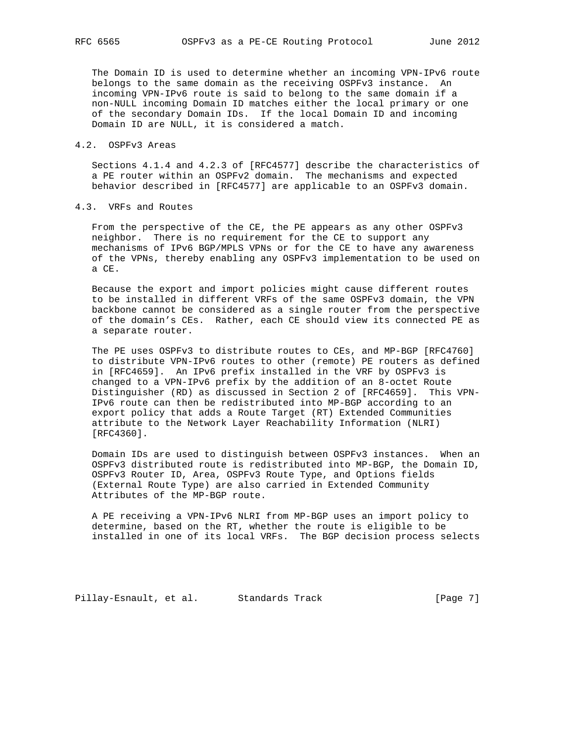The Domain ID is used to determine whether an incoming VPN-IPv6 route belongs to the same domain as the receiving OSPFv3 instance. An incoming VPN-IPv6 route is said to belong to the same domain if a non-NULL incoming Domain ID matches either the local primary or one of the secondary Domain IDs. If the local Domain ID and incoming Domain ID are NULL, it is considered a match.

#### 4.2. OSPFv3 Areas

 Sections 4.1.4 and 4.2.3 of [RFC4577] describe the characteristics of a PE router within an OSPFv2 domain. The mechanisms and expected behavior described in [RFC4577] are applicable to an OSPFv3 domain.

## 4.3. VRFs and Routes

 From the perspective of the CE, the PE appears as any other OSPFv3 neighbor. There is no requirement for the CE to support any mechanisms of IPv6 BGP/MPLS VPNs or for the CE to have any awareness of the VPNs, thereby enabling any OSPFv3 implementation to be used on a CE.

 Because the export and import policies might cause different routes to be installed in different VRFs of the same OSPFv3 domain, the VPN backbone cannot be considered as a single router from the perspective of the domain's CEs. Rather, each CE should view its connected PE as a separate router.

 The PE uses OSPFv3 to distribute routes to CEs, and MP-BGP [RFC4760] to distribute VPN-IPv6 routes to other (remote) PE routers as defined in [RFC4659]. An IPv6 prefix installed in the VRF by OSPFv3 is changed to a VPN-IPv6 prefix by the addition of an 8-octet Route Distinguisher (RD) as discussed in Section 2 of [RFC4659]. This VPN- IPv6 route can then be redistributed into MP-BGP according to an export policy that adds a Route Target (RT) Extended Communities attribute to the Network Layer Reachability Information (NLRI) [RFC4360].

 Domain IDs are used to distinguish between OSPFv3 instances. When an OSPFv3 distributed route is redistributed into MP-BGP, the Domain ID, OSPFv3 Router ID, Area, OSPFv3 Route Type, and Options fields (External Route Type) are also carried in Extended Community Attributes of the MP-BGP route.

 A PE receiving a VPN-IPv6 NLRI from MP-BGP uses an import policy to determine, based on the RT, whether the route is eligible to be installed in one of its local VRFs. The BGP decision process selects

Pillay-Esnault, et al. Standards Track [Page 7]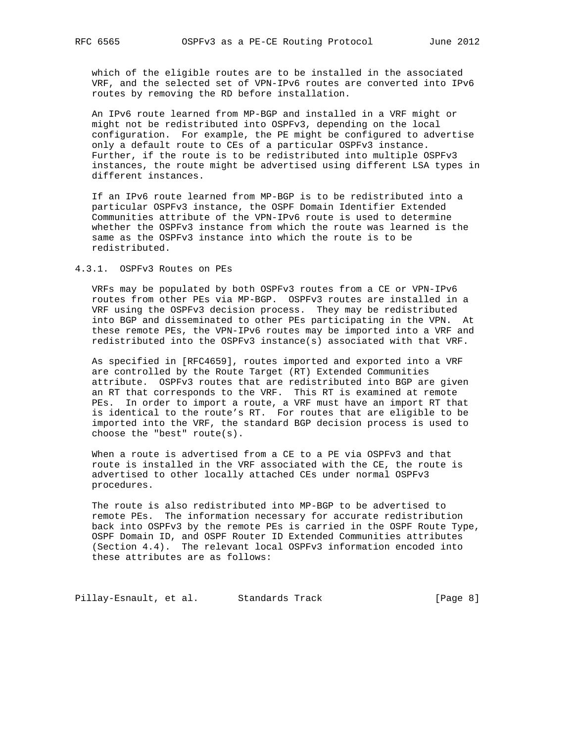which of the eligible routes are to be installed in the associated VRF, and the selected set of VPN-IPv6 routes are converted into IPv6 routes by removing the RD before installation.

 An IPv6 route learned from MP-BGP and installed in a VRF might or might not be redistributed into OSPFv3, depending on the local configuration. For example, the PE might be configured to advertise only a default route to CEs of a particular OSPFv3 instance. Further, if the route is to be redistributed into multiple OSPFv3 instances, the route might be advertised using different LSA types in different instances.

 If an IPv6 route learned from MP-BGP is to be redistributed into a particular OSPFv3 instance, the OSPF Domain Identifier Extended Communities attribute of the VPN-IPv6 route is used to determine whether the OSPFv3 instance from which the route was learned is the same as the OSPFv3 instance into which the route is to be redistributed.

4.3.1. OSPFv3 Routes on PEs

 VRFs may be populated by both OSPFv3 routes from a CE or VPN-IPv6 routes from other PEs via MP-BGP. OSPFv3 routes are installed in a VRF using the OSPFv3 decision process. They may be redistributed into BGP and disseminated to other PEs participating in the VPN. At these remote PEs, the VPN-IPv6 routes may be imported into a VRF and redistributed into the OSPFv3 instance(s) associated with that VRF.

 As specified in [RFC4659], routes imported and exported into a VRF are controlled by the Route Target (RT) Extended Communities attribute. OSPFv3 routes that are redistributed into BGP are given an RT that corresponds to the VRF. This RT is examined at remote PEs. In order to import a route, a VRF must have an import RT that is identical to the route's RT. For routes that are eligible to be imported into the VRF, the standard BGP decision process is used to choose the "best" route(s).

 When a route is advertised from a CE to a PE via OSPFv3 and that route is installed in the VRF associated with the CE, the route is advertised to other locally attached CEs under normal OSPFv3 procedures.

 The route is also redistributed into MP-BGP to be advertised to remote PEs. The information necessary for accurate redistribution back into OSPFv3 by the remote PEs is carried in the OSPF Route Type, OSPF Domain ID, and OSPF Router ID Extended Communities attributes (Section 4.4). The relevant local OSPFv3 information encoded into these attributes are as follows:

Pillay-Esnault, et al. Standards Track [Page 8]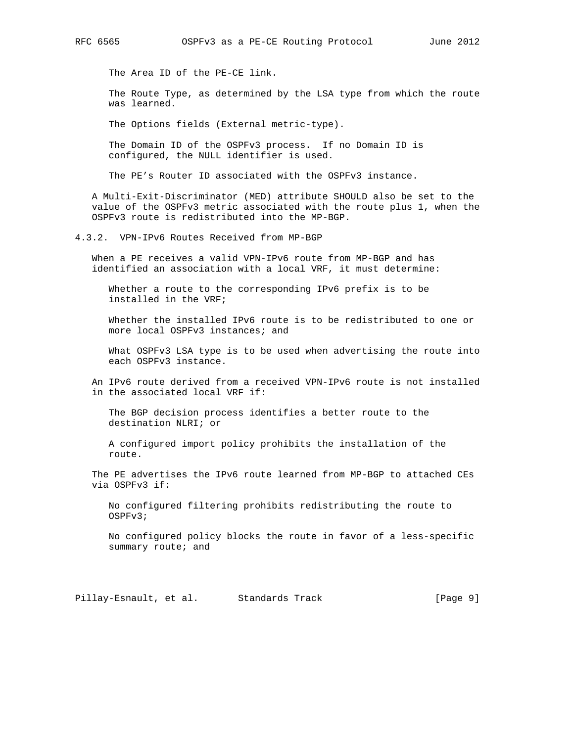The Area ID of the PE-CE link.

 The Route Type, as determined by the LSA type from which the route was learned.

The Options fields (External metric-type).

 The Domain ID of the OSPFv3 process. If no Domain ID is configured, the NULL identifier is used.

The PE's Router ID associated with the OSPFv3 instance.

 A Multi-Exit-Discriminator (MED) attribute SHOULD also be set to the value of the OSPFv3 metric associated with the route plus 1, when the OSPFv3 route is redistributed into the MP-BGP.

4.3.2. VPN-IPv6 Routes Received from MP-BGP

 When a PE receives a valid VPN-IPv6 route from MP-BGP and has identified an association with a local VRF, it must determine:

 Whether a route to the corresponding IPv6 prefix is to be installed in the VRF;

 Whether the installed IPv6 route is to be redistributed to one or more local OSPFv3 instances; and

 What OSPFv3 LSA type is to be used when advertising the route into each OSPFv3 instance.

 An IPv6 route derived from a received VPN-IPv6 route is not installed in the associated local VRF if:

 The BGP decision process identifies a better route to the destination NLRI; or

 A configured import policy prohibits the installation of the route.

 The PE advertises the IPv6 route learned from MP-BGP to attached CEs via OSPFv3 if:

 No configured filtering prohibits redistributing the route to OSPFv3;

 No configured policy blocks the route in favor of a less-specific summary route; and

Pillay-Esnault, et al. Standards Track [Page 9]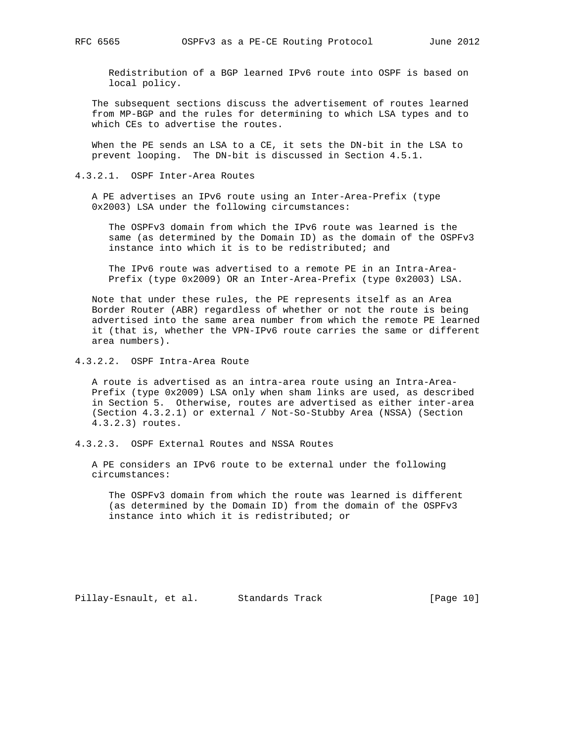Redistribution of a BGP learned IPv6 route into OSPF is based on local policy.

 The subsequent sections discuss the advertisement of routes learned from MP-BGP and the rules for determining to which LSA types and to which CEs to advertise the routes.

 When the PE sends an LSA to a CE, it sets the DN-bit in the LSA to prevent looping. The DN-bit is discussed in Section 4.5.1.

#### 4.3.2.1. OSPF Inter-Area Routes

 A PE advertises an IPv6 route using an Inter-Area-Prefix (type 0x2003) LSA under the following circumstances:

 The OSPFv3 domain from which the IPv6 route was learned is the same (as determined by the Domain ID) as the domain of the OSPFv3 instance into which it is to be redistributed; and

 The IPv6 route was advertised to a remote PE in an Intra-Area- Prefix (type 0x2009) OR an Inter-Area-Prefix (type 0x2003) LSA.

 Note that under these rules, the PE represents itself as an Area Border Router (ABR) regardless of whether or not the route is being advertised into the same area number from which the remote PE learned it (that is, whether the VPN-IPv6 route carries the same or different area numbers).

4.3.2.2. OSPF Intra-Area Route

 A route is advertised as an intra-area route using an Intra-Area- Prefix (type 0x2009) LSA only when sham links are used, as described in Section 5. Otherwise, routes are advertised as either inter-area (Section 4.3.2.1) or external / Not-So-Stubby Area (NSSA) (Section 4.3.2.3) routes.

4.3.2.3. OSPF External Routes and NSSA Routes

 A PE considers an IPv6 route to be external under the following circumstances:

 The OSPFv3 domain from which the route was learned is different (as determined by the Domain ID) from the domain of the OSPFv3 instance into which it is redistributed; or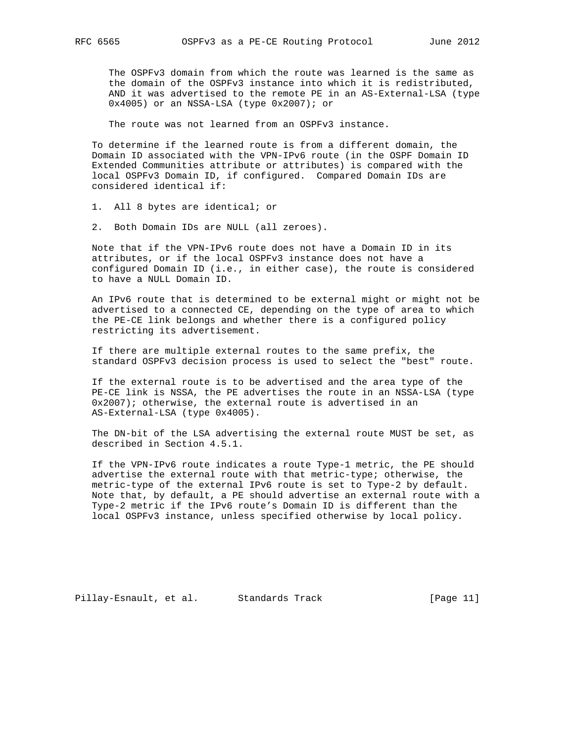The OSPFv3 domain from which the route was learned is the same as the domain of the OSPFv3 instance into which it is redistributed, AND it was advertised to the remote PE in an AS-External-LSA (type 0x4005) or an NSSA-LSA (type 0x2007); or

The route was not learned from an OSPFv3 instance.

 To determine if the learned route is from a different domain, the Domain ID associated with the VPN-IPv6 route (in the OSPF Domain ID Extended Communities attribute or attributes) is compared with the local OSPFv3 Domain ID, if configured. Compared Domain IDs are considered identical if:

1. All 8 bytes are identical; or

2. Both Domain IDs are NULL (all zeroes).

 Note that if the VPN-IPv6 route does not have a Domain ID in its attributes, or if the local OSPFv3 instance does not have a configured Domain ID (i.e., in either case), the route is considered to have a NULL Domain ID.

 An IPv6 route that is determined to be external might or might not be advertised to a connected CE, depending on the type of area to which the PE-CE link belongs and whether there is a configured policy restricting its advertisement.

 If there are multiple external routes to the same prefix, the standard OSPFv3 decision process is used to select the "best" route.

 If the external route is to be advertised and the area type of the PE-CE link is NSSA, the PE advertises the route in an NSSA-LSA (type 0x2007); otherwise, the external route is advertised in an AS-External-LSA (type 0x4005).

 The DN-bit of the LSA advertising the external route MUST be set, as described in Section 4.5.1.

 If the VPN-IPv6 route indicates a route Type-1 metric, the PE should advertise the external route with that metric-type; otherwise, the metric-type of the external IPv6 route is set to Type-2 by default. Note that, by default, a PE should advertise an external route with a Type-2 metric if the IPv6 route's Domain ID is different than the local OSPFv3 instance, unless specified otherwise by local policy.

Pillay-Esnault, et al. Standards Track [Page 11]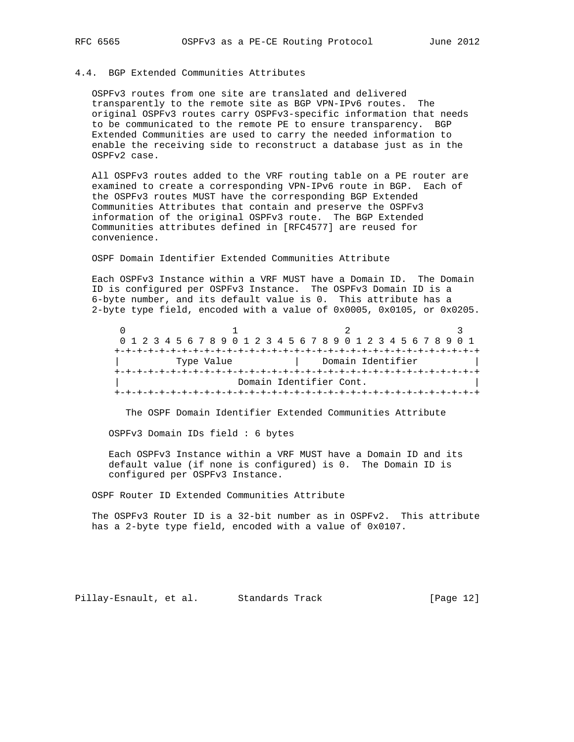## 4.4. BGP Extended Communities Attributes

 OSPFv3 routes from one site are translated and delivered transparently to the remote site as BGP VPN-IPv6 routes. The original OSPFv3 routes carry OSPFv3-specific information that needs to be communicated to the remote PE to ensure transparency. BGP Extended Communities are used to carry the needed information to enable the receiving side to reconstruct a database just as in the OSPFv2 case.

 All OSPFv3 routes added to the VRF routing table on a PE router are examined to create a corresponding VPN-IPv6 route in BGP. Each of the OSPFv3 routes MUST have the corresponding BGP Extended Communities Attributes that contain and preserve the OSPFv3 information of the original OSPFv3 route. The BGP Extended Communities attributes defined in [RFC4577] are reused for convenience.

OSPF Domain Identifier Extended Communities Attribute

 Each OSPFv3 Instance within a VRF MUST have a Domain ID. The Domain ID is configured per OSPFv3 Instance. The OSPFv3 Domain ID is a 6-byte number, and its default value is 0. This attribute has a 2-byte type field, encoded with a value of 0x0005, 0x0105, or 0x0205.

 $0$  1 2 3 0 1 2 3 4 5 6 7 8 9 0 1 2 3 4 5 6 7 8 9 0 1 2 3 4 5 6 7 8 9 0 1 +-+-+-+-+-+-+-+-+-+-+-+-+-+-+-+-+-+-+-+-+-+-+-+-+-+-+-+-+-+-+-+-+ | Type Value | Domain Identifier | +-+-+-+-+-+-+-+-+-+-+-+-+-+-+-+-+-+-+-+-+-+-+-+-+-+-+-+-+-+-+-+-+ Domain Identifier Cont. +-+-+-+-+-+-+-+-+-+-+-+-+-+-+-+-+-+-+-+-+-+-+-+-+-+-+-+-+-+-+-+-+

The OSPF Domain Identifier Extended Communities Attribute

OSPFv3 Domain IDs field : 6 bytes

 Each OSPFv3 Instance within a VRF MUST have a Domain ID and its default value (if none is configured) is 0. The Domain ID is configured per OSPFv3 Instance.

OSPF Router ID Extended Communities Attribute

 The OSPFv3 Router ID is a 32-bit number as in OSPFv2. This attribute has a 2-byte type field, encoded with a value of 0x0107.

Pillay-Esnault, et al. Standards Track [Page 12]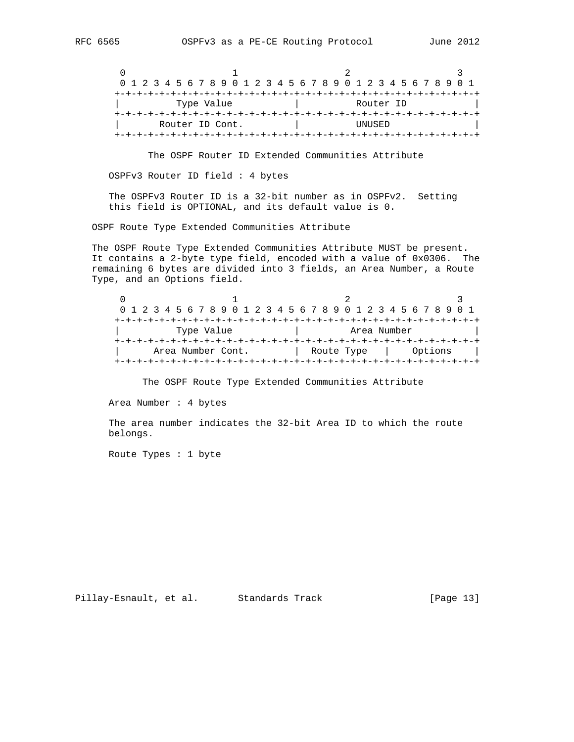| 0 1 2 3 4 5 6 7 8 9 0 1 2 3 4 5 6 7 8 9 0 1 2 3 4 5 6 7 8 9 0 1 |  |  |  |  |  |  |  |  |  |  |  |  |  |  |        |           |  |  |  |  |  |  |  |  |  |  |  |  |  |  |
|-----------------------------------------------------------------|--|--|--|--|--|--|--|--|--|--|--|--|--|--|--------|-----------|--|--|--|--|--|--|--|--|--|--|--|--|--|--|
|                                                                 |  |  |  |  |  |  |  |  |  |  |  |  |  |  |        |           |  |  |  |  |  |  |  |  |  |  |  |  |  |  |
| Type Value                                                      |  |  |  |  |  |  |  |  |  |  |  |  |  |  |        | Router ID |  |  |  |  |  |  |  |  |  |  |  |  |  |  |
|                                                                 |  |  |  |  |  |  |  |  |  |  |  |  |  |  |        |           |  |  |  |  |  |  |  |  |  |  |  |  |  |  |
| Router ID Cont.                                                 |  |  |  |  |  |  |  |  |  |  |  |  |  |  | UNUSED |           |  |  |  |  |  |  |  |  |  |  |  |  |  |  |
|                                                                 |  |  |  |  |  |  |  |  |  |  |  |  |  |  |        |           |  |  |  |  |  |  |  |  |  |  |  |  |  |  |

The OSPF Router ID Extended Communities Attribute

OSPFv3 Router ID field : 4 bytes

 The OSPFv3 Router ID is a 32-bit number as in OSPFv2. Setting this field is OPTIONAL, and its default value is 0.

OSPF Route Type Extended Communities Attribute

 The OSPF Route Type Extended Communities Attribute MUST be present. It contains a 2-byte type field, encoded with a value of 0x0306. The remaining 6 bytes are divided into 3 fields, an Area Number, a Route Type, and an Options field.

 $0$  1 2 3 0 1 2 3 4 5 6 7 8 9 0 1 2 3 4 5 6 7 8 9 0 1 2 3 4 5 6 7 8 9 0 1 +-+-+-+-+-+-+-+-+-+-+-+-+-+-+-+-+-+-+-+-+-+-+-+-+-+-+-+-+-+-+-+-+ | Type Value | Area Number | +-+-+-+-+-+-+-+-+-+-+-+-+-+-+-+-+-+-+-+-+-+-+-+-+-+-+-+-+-+-+-+-+ Area Number Cont. | Route Type | Options | +-+-+-+-+-+-+-+-+-+-+-+-+-+-+-+-+-+-+-+-+-+-+-+-+-+-+-+-+-+-+-+-+

The OSPF Route Type Extended Communities Attribute

Area Number : 4 bytes

 The area number indicates the 32-bit Area ID to which the route belongs.

Route Types : 1 byte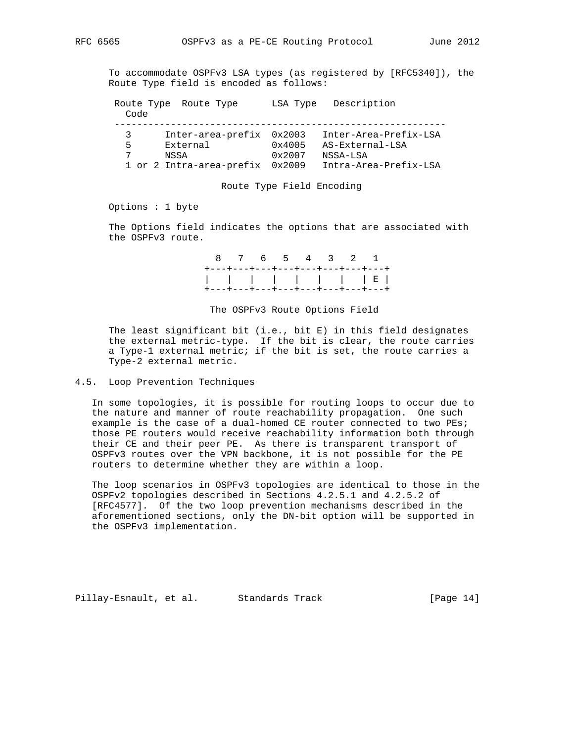To accommodate OSPFv3 LSA types (as registered by [RFC5340]), the Route Type field is encoded as follows:

 Route Type Route Type LSA Type Description Code ----------------------------------------------------------- 3 Inter-area-prefix 0x2003 Inter-Area-Prefix-LSA 5 External 0x4005 AS-External-LSA 7 NSSA 0x2007 NSSA-LSA 1 or 2 Intra-area-prefix 0x2009 Intra-Area-Prefix-LSA

#### Route Type Field Encoding

Options : 1 byte

 The Options field indicates the options that are associated with the OSPFv3 route.

> 8 7 6 5 4 3 2 1 +---+---+---+---+---+---+---+---+ | | | | | | | | E | +---+---+---+---+---+---+---+---+

The OSPFv3 Route Options Field

 The least significant bit (i.e., bit E) in this field designates the external metric-type. If the bit is clear, the route carries a Type-1 external metric; if the bit is set, the route carries a Type-2 external metric.

## 4.5. Loop Prevention Techniques

 In some topologies, it is possible for routing loops to occur due to the nature and manner of route reachability propagation. One such example is the case of a dual-homed CE router connected to two PEs; those PE routers would receive reachability information both through their CE and their peer PE. As there is transparent transport of OSPFv3 routes over the VPN backbone, it is not possible for the PE routers to determine whether they are within a loop.

 The loop scenarios in OSPFv3 topologies are identical to those in the OSPFv2 topologies described in Sections 4.2.5.1 and 4.2.5.2 of [RFC4577]. Of the two loop prevention mechanisms described in the aforementioned sections, only the DN-bit option will be supported in the OSPFv3 implementation.

Pillay-Esnault, et al. Standards Track [Page 14]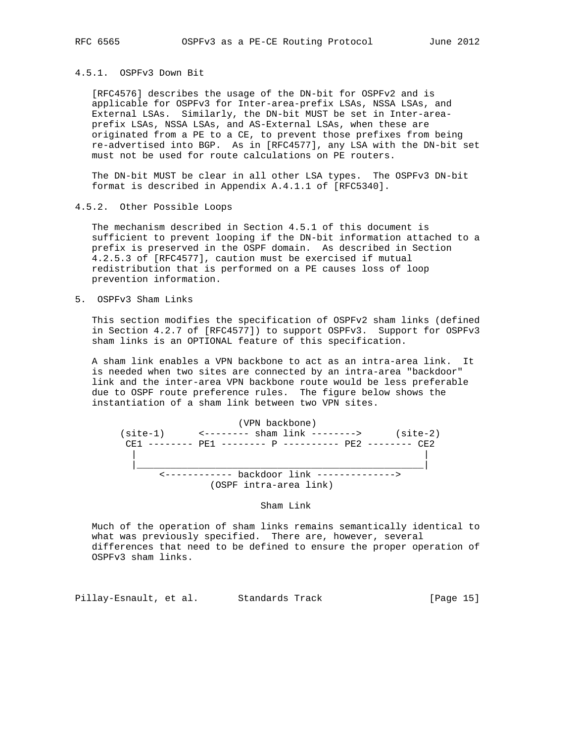## 4.5.1. OSPFv3 Down Bit

 [RFC4576] describes the usage of the DN-bit for OSPFv2 and is applicable for OSPFv3 for Inter-area-prefix LSAs, NSSA LSAs, and External LSAs. Similarly, the DN-bit MUST be set in Inter-area prefix LSAs, NSSA LSAs, and AS-External LSAs, when these are originated from a PE to a CE, to prevent those prefixes from being re-advertised into BGP. As in [RFC4577], any LSA with the DN-bit set must not be used for route calculations on PE routers.

 The DN-bit MUST be clear in all other LSA types. The OSPFv3 DN-bit format is described in Appendix A.4.1.1 of [RFC5340].

4.5.2. Other Possible Loops

 The mechanism described in Section 4.5.1 of this document is sufficient to prevent looping if the DN-bit information attached to a prefix is preserved in the OSPF domain. As described in Section 4.2.5.3 of [RFC4577], caution must be exercised if mutual redistribution that is performed on a PE causes loss of loop prevention information.

5. OSPFv3 Sham Links

 This section modifies the specification of OSPFv2 sham links (defined in Section 4.2.7 of [RFC4577]) to support OSPFv3. Support for OSPFv3 sham links is an OPTIONAL feature of this specification.

 A sham link enables a VPN backbone to act as an intra-area link. It is needed when two sites are connected by an intra-area "backdoor" link and the inter-area VPN backbone route would be less preferable due to OSPF route preference rules. The figure below shows the instantiation of a sham link between two VPN sites.

 (VPN backbone) (site-1) <-------- sham link --------> (site-2) CE1 -------- PE1 -------- P ---------- PE2 -------- CE2 | | |\_\_\_\_\_\_\_\_\_\_\_\_\_\_\_\_\_\_\_\_\_\_\_\_\_\_\_\_\_\_\_\_\_\_\_\_\_\_\_\_\_\_\_\_\_\_\_\_\_\_\_| <------------ backdoor link --------------> (OSPF intra-area link)

Sham Link

 Much of the operation of sham links remains semantically identical to what was previously specified. There are, however, several differences that need to be defined to ensure the proper operation of OSPFv3 sham links.

Pillay-Esnault, et al. Standards Track [Page 15]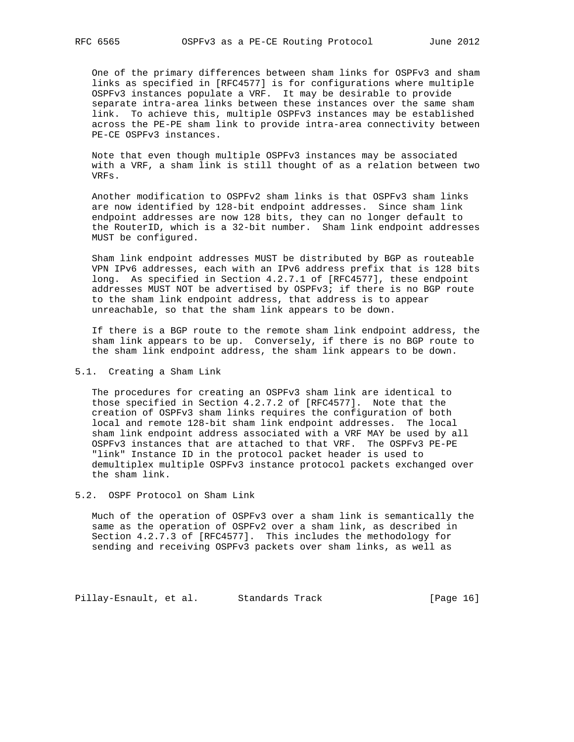One of the primary differences between sham links for OSPFv3 and sham links as specified in [RFC4577] is for configurations where multiple OSPFv3 instances populate a VRF. It may be desirable to provide separate intra-area links between these instances over the same sham link. To achieve this, multiple OSPFv3 instances may be established across the PE-PE sham link to provide intra-area connectivity between PE-CE OSPFv3 instances.

 Note that even though multiple OSPFv3 instances may be associated with a VRF, a sham link is still thought of as a relation between two VRFs.

 Another modification to OSPFv2 sham links is that OSPFv3 sham links are now identified by 128-bit endpoint addresses. Since sham link endpoint addresses are now 128 bits, they can no longer default to the RouterID, which is a 32-bit number. Sham link endpoint addresses MUST be configured.

 Sham link endpoint addresses MUST be distributed by BGP as routeable VPN IPv6 addresses, each with an IPv6 address prefix that is 128 bits long. As specified in Section 4.2.7.1 of [RFC4577], these endpoint addresses MUST NOT be advertised by OSPFv3; if there is no BGP route to the sham link endpoint address, that address is to appear unreachable, so that the sham link appears to be down.

 If there is a BGP route to the remote sham link endpoint address, the sham link appears to be up. Conversely, if there is no BGP route to the sham link endpoint address, the sham link appears to be down.

## 5.1. Creating a Sham Link

 The procedures for creating an OSPFv3 sham link are identical to those specified in Section 4.2.7.2 of [RFC4577]. Note that the creation of OSPFv3 sham links requires the configuration of both local and remote 128-bit sham link endpoint addresses. The local sham link endpoint address associated with a VRF MAY be used by all OSPFv3 instances that are attached to that VRF. The OSPFv3 PE-PE "link" Instance ID in the protocol packet header is used to demultiplex multiple OSPFv3 instance protocol packets exchanged over the sham link.

5.2. OSPF Protocol on Sham Link

 Much of the operation of OSPFv3 over a sham link is semantically the same as the operation of OSPFv2 over a sham link, as described in Section 4.2.7.3 of [RFC4577]. This includes the methodology for sending and receiving OSPFv3 packets over sham links, as well as

Pillay-Esnault, et al. Standards Track [Page 16]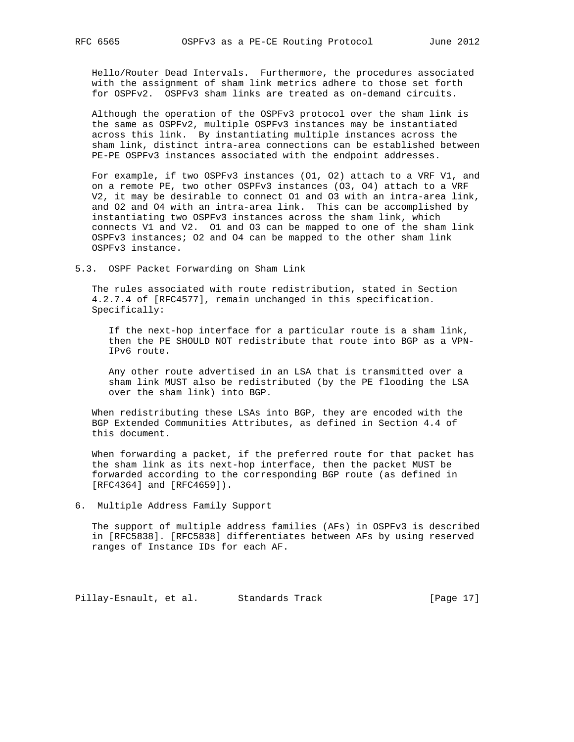Hello/Router Dead Intervals. Furthermore, the procedures associated with the assignment of sham link metrics adhere to those set forth for OSPFv2. OSPFv3 sham links are treated as on-demand circuits.

 Although the operation of the OSPFv3 protocol over the sham link is the same as OSPFv2, multiple OSPFv3 instances may be instantiated across this link. By instantiating multiple instances across the sham link, distinct intra-area connections can be established between PE-PE OSPFv3 instances associated with the endpoint addresses.

 For example, if two OSPFv3 instances (O1, O2) attach to a VRF V1, and on a remote PE, two other OSPFv3 instances (O3, O4) attach to a VRF V2, it may be desirable to connect O1 and O3 with an intra-area link, and O2 and O4 with an intra-area link. This can be accomplished by instantiating two OSPFv3 instances across the sham link, which connects V1 and V2. O1 and O3 can be mapped to one of the sham link OSPFv3 instances; O2 and O4 can be mapped to the other sham link OSPFv3 instance.

5.3. OSPF Packet Forwarding on Sham Link

 The rules associated with route redistribution, stated in Section 4.2.7.4 of [RFC4577], remain unchanged in this specification. Specifically:

 If the next-hop interface for a particular route is a sham link, then the PE SHOULD NOT redistribute that route into BGP as a VPN- IPv6 route.

 Any other route advertised in an LSA that is transmitted over a sham link MUST also be redistributed (by the PE flooding the LSA over the sham link) into BGP.

 When redistributing these LSAs into BGP, they are encoded with the BGP Extended Communities Attributes, as defined in Section 4.4 of this document.

 When forwarding a packet, if the preferred route for that packet has the sham link as its next-hop interface, then the packet MUST be forwarded according to the corresponding BGP route (as defined in [RFC4364] and [RFC4659]).

6. Multiple Address Family Support

 The support of multiple address families (AFs) in OSPFv3 is described in [RFC5838]. [RFC5838] differentiates between AFs by using reserved ranges of Instance IDs for each AF.

Pillay-Esnault, et al. Standards Track [Page 17]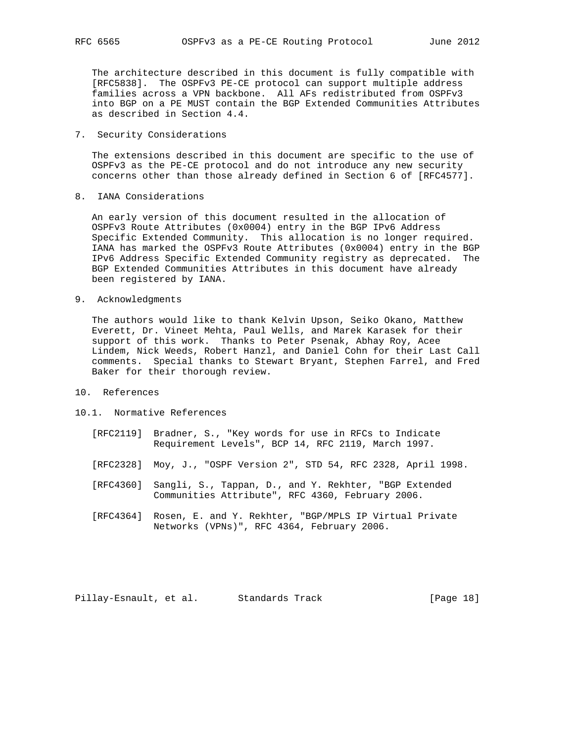The architecture described in this document is fully compatible with [RFC5838]. The OSPFv3 PE-CE protocol can support multiple address families across a VPN backbone. All AFs redistributed from OSPFv3 into BGP on a PE MUST contain the BGP Extended Communities Attributes as described in Section 4.4.

7. Security Considerations

 The extensions described in this document are specific to the use of OSPFv3 as the PE-CE protocol and do not introduce any new security concerns other than those already defined in Section 6 of [RFC4577].

8. IANA Considerations

 An early version of this document resulted in the allocation of OSPFv3 Route Attributes (0x0004) entry in the BGP IPv6 Address Specific Extended Community. This allocation is no longer required. IANA has marked the OSPFv3 Route Attributes (0x0004) entry in the BGP IPv6 Address Specific Extended Community registry as deprecated. The BGP Extended Communities Attributes in this document have already been registered by IANA.

9. Acknowledgments

 The authors would like to thank Kelvin Upson, Seiko Okano, Matthew Everett, Dr. Vineet Mehta, Paul Wells, and Marek Karasek for their support of this work. Thanks to Peter Psenak, Abhay Roy, Acee Lindem, Nick Weeds, Robert Hanzl, and Daniel Cohn for their Last Call comments. Special thanks to Stewart Bryant, Stephen Farrel, and Fred Baker for their thorough review.

- 10. References
- 10.1. Normative References
	- [RFC2119] Bradner, S., "Key words for use in RFCs to Indicate Requirement Levels", BCP 14, RFC 2119, March 1997.
	- [RFC2328] Moy, J., "OSPF Version 2", STD 54, RFC 2328, April 1998.
	- [RFC4360] Sangli, S., Tappan, D., and Y. Rekhter, "BGP Extended Communities Attribute", RFC 4360, February 2006.
	- [RFC4364] Rosen, E. and Y. Rekhter, "BGP/MPLS IP Virtual Private Networks (VPNs)", RFC 4364, February 2006.

Pillay-Esnault, et al. Standards Track [Page 18]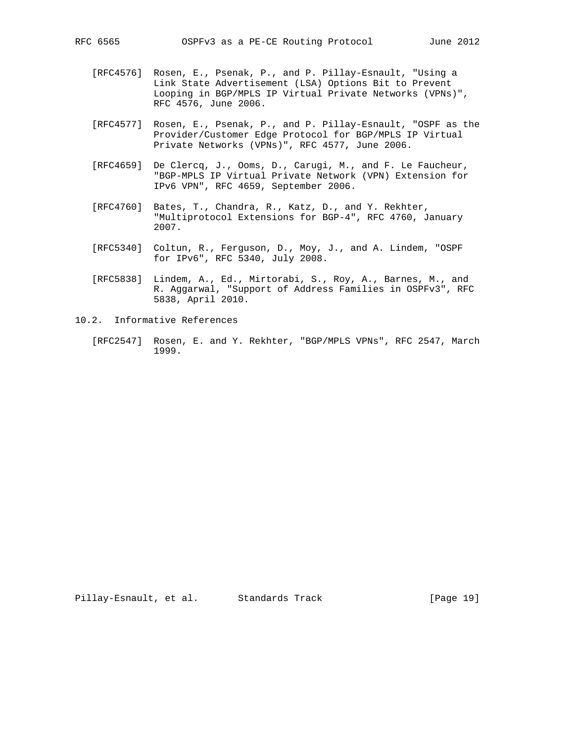- [RFC4576] Rosen, E., Psenak, P., and P. Pillay-Esnault, "Using a Link State Advertisement (LSA) Options Bit to Prevent Looping in BGP/MPLS IP Virtual Private Networks (VPNs)", RFC 4576, June 2006.
- [RFC4577] Rosen, E., Psenak, P., and P. Pillay-Esnault, "OSPF as the Provider/Customer Edge Protocol for BGP/MPLS IP Virtual Private Networks (VPNs)", RFC 4577, June 2006.
- [RFC4659] De Clercq, J., Ooms, D., Carugi, M., and F. Le Faucheur, "BGP-MPLS IP Virtual Private Network (VPN) Extension for IPv6 VPN", RFC 4659, September 2006.
- [RFC4760] Bates, T., Chandra, R., Katz, D., and Y. Rekhter, "Multiprotocol Extensions for BGP-4", RFC 4760, January 2007.
- [RFC5340] Coltun, R., Ferguson, D., Moy, J., and A. Lindem, "OSPF for IPv6", RFC 5340, July 2008.
- [RFC5838] Lindem, A., Ed., Mirtorabi, S., Roy, A., Barnes, M., and R. Aggarwal, "Support of Address Families in OSPFv3", RFC 5838, April 2010.
- 10.2. Informative References
	- [RFC2547] Rosen, E. and Y. Rekhter, "BGP/MPLS VPNs", RFC 2547, March 1999.